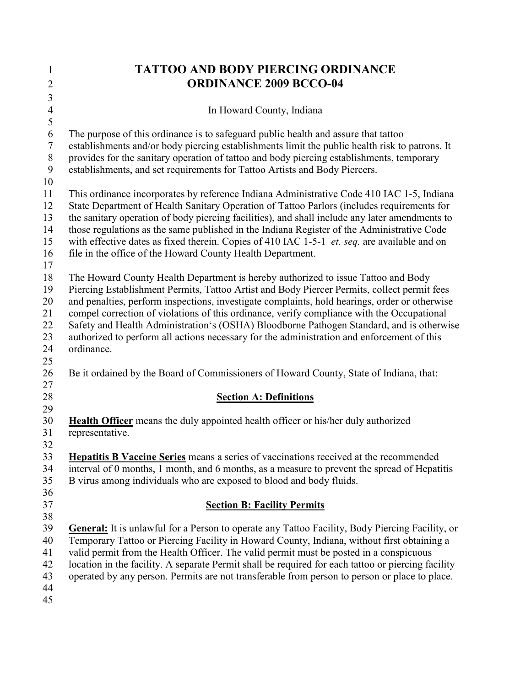| 1              | <b>TATTOO AND BODY PIERCING ORDINANCE</b>                                                                                                                                                           |  |  |
|----------------|-----------------------------------------------------------------------------------------------------------------------------------------------------------------------------------------------------|--|--|
| $\overline{2}$ | <b>ORDINANCE 2009 BCCO-04</b>                                                                                                                                                                       |  |  |
| 3              |                                                                                                                                                                                                     |  |  |
| $\overline{4}$ | In Howard County, Indiana                                                                                                                                                                           |  |  |
| 5<br>6         | The purpose of this ordinance is to safeguard public health and assure that tattoo                                                                                                                  |  |  |
| $\overline{7}$ | establishments and/or body piercing establishments limit the public health risk to patrons. It                                                                                                      |  |  |
| $8\phantom{1}$ | provides for the sanitary operation of tattoo and body piercing establishments, temporary                                                                                                           |  |  |
| 9              | establishments, and set requirements for Tattoo Artists and Body Piercers.                                                                                                                          |  |  |
| 10             |                                                                                                                                                                                                     |  |  |
| 11             | This ordinance incorporates by reference Indiana Administrative Code 410 IAC 1-5, Indiana                                                                                                           |  |  |
| 12             | State Department of Health Sanitary Operation of Tattoo Parlors (includes requirements for                                                                                                          |  |  |
| 13             | the sanitary operation of body piercing facilities), and shall include any later amendments to                                                                                                      |  |  |
| 14             | those regulations as the same published in the Indiana Register of the Administrative Code                                                                                                          |  |  |
| 15<br>16       | with effective dates as fixed therein. Copies of 410 IAC 1-5-1 <i>et. seq.</i> are available and on                                                                                                 |  |  |
| 17             | file in the office of the Howard County Health Department.                                                                                                                                          |  |  |
| 18             | The Howard County Health Department is hereby authorized to issue Tattoo and Body                                                                                                                   |  |  |
| 19             | Piercing Establishment Permits, Tattoo Artist and Body Piercer Permits, collect permit fees                                                                                                         |  |  |
| 20             | and penalties, perform inspections, investigate complaints, hold hearings, order or otherwise                                                                                                       |  |  |
| 21             | compel correction of violations of this ordinance, verify compliance with the Occupational                                                                                                          |  |  |
| 22             | Safety and Health Administration's (OSHA) Bloodborne Pathogen Standard, and is otherwise                                                                                                            |  |  |
| 23             | authorized to perform all actions necessary for the administration and enforcement of this                                                                                                          |  |  |
| 24             | ordinance.                                                                                                                                                                                          |  |  |
| 25<br>26       | Be it ordained by the Board of Commissioners of Howard County, State of Indiana, that:                                                                                                              |  |  |
| 27             |                                                                                                                                                                                                     |  |  |
| 28             | <b>Section A: Definitions</b>                                                                                                                                                                       |  |  |
| 29             |                                                                                                                                                                                                     |  |  |
| 30             | <b>Health Officer</b> means the duly appointed health officer or his/her duly authorized                                                                                                            |  |  |
| 31             | representative.                                                                                                                                                                                     |  |  |
| 32             |                                                                                                                                                                                                     |  |  |
| 33<br>34       | Hepatitis B Vaccine Series means a series of vaccinations received at the recommended<br>interval of 0 months, 1 month, and 6 months, as a measure to prevent the spread of Hepatitis               |  |  |
| 35             | B virus among individuals who are exposed to blood and body fluids.                                                                                                                                 |  |  |
| 36             |                                                                                                                                                                                                     |  |  |
| 37             | <b>Section B: Facility Permits</b>                                                                                                                                                                  |  |  |
| 38             |                                                                                                                                                                                                     |  |  |
| 39             | <b>General:</b> It is unlawful for a Person to operate any Tattoo Facility, Body Piercing Facility, or                                                                                              |  |  |
| 40             | Temporary Tattoo or Piercing Facility in Howard County, Indiana, without first obtaining a                                                                                                          |  |  |
| 41             | valid permit from the Health Officer. The valid permit must be posted in a conspicuous                                                                                                              |  |  |
| 42<br>43       | location in the facility. A separate Permit shall be required for each tattoo or piercing facility<br>operated by any person. Permits are not transferable from person to person or place to place. |  |  |
| 44             |                                                                                                                                                                                                     |  |  |
| 45             |                                                                                                                                                                                                     |  |  |
|                |                                                                                                                                                                                                     |  |  |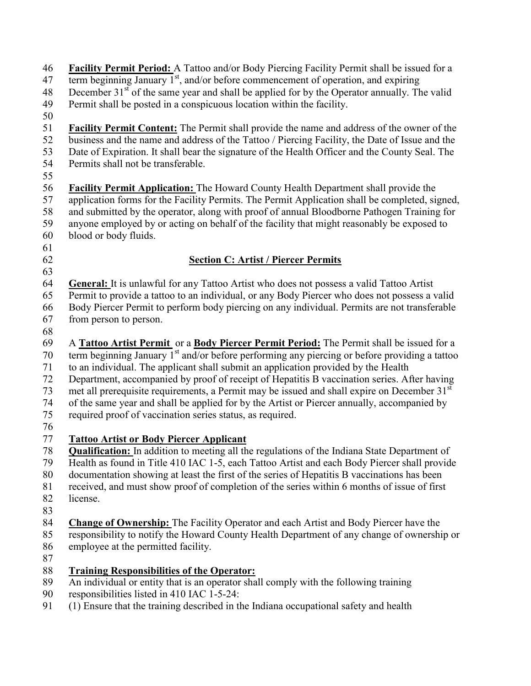46 Facility Permit Period: A Tattoo and/or Body Piercing Facility Permit shall be issued for a  $\frac{1}{47}$  term beginning January 1<sup>st</sup>, and/or before commencement of operation, and expiring 48 December  $31<sup>st</sup>$  of the same year and shall be applied for by the Operator annually. The valid 49 Permit shall be posted in a conspicuous location within the facility. 50 **Facility Permit Content:** The Permit shall provide the name and address of the owner of the business and the name and address of the Tattoo / Piercing Facility the Date of Issue and the business and the name and address of the Tattoo / Piercing Facility, the Date of Issue and the 53 Date of Expiration. It shall bear the signature of the Health Officer and the County Seal. The 54 Permits shall not be transferable. 55<br>56 **Facility Permit Application:** The Howard County Health Department shall provide the 57 application forms for the Facility Permits. The Permit Application shall be completed, signed, 58 and submitted by the operator, along with proof of annual Bloodborne Pathogen Training for 59 anyone employed by or acting on behalf of the facility that might reasonably be exposed to 60 blood or body fluids. 61 62 Section C: Artist / Piercer Permits 63 64 General: It is unlawful for any Tattoo Artist who does not possess a valid Tattoo Artist 65 Permit to provide a tattoo to an individual, or any Body Piercer who does not possess a valid 66 Body Piercer Permit to perform body piercing on any individual. Permits are not transferable 67 from person to person. 68 69 A Tattoo Artist Permit or a Body Piercer Permit Period: The Permit shall be issued for a 70 term beginning January  $1^{st}$  and/or before performing any piercing or before providing a tattoo 71 to an individual. The applicant shall submit an application provided by the Health 72 Department, accompanied by proof of receipt of Hepatitis B vaccination series. After having 73 met all prerequisite requirements, a Permit may be issued and shall expire on December  $31<sup>st</sup>$ 74 of the same year and shall be applied for by the Artist or Piercer annually, accompanied by 75 required proof of vaccination series status, as required. 76<br>77 77 Tattoo Artist or Body Piercer Applicant **Qualification:** In addition to meeting all the regulations of the Indiana State Department of Health as found in Title 410 IAC 1-5, each Tattoo Artist and each Body Piercer shall provide Health as found in Title 410 IAC 1-5, each Tattoo Artist and each Body Piercer shall provide 80 documentation showing at least the first of the series of Hepatitis B vaccinations has been 81 received, and must show proof of completion of the series within 6 months of issue of first 82 license. 83 84 Change of Ownership: The Facility Operator and each Artist and Body Piercer have the 85 responsibility to notify the Howard County Health Department of any change of ownership or 86 employee at the permitted facility. 87 88 Training Responsibilities of the Operator: 89 An individual or entity that is an operator shall comply with the following training

- 90 responsibilities listed in 410 IAC 1-5-24:
- 91 (1) Ensure that the training described in the Indiana occupational safety and health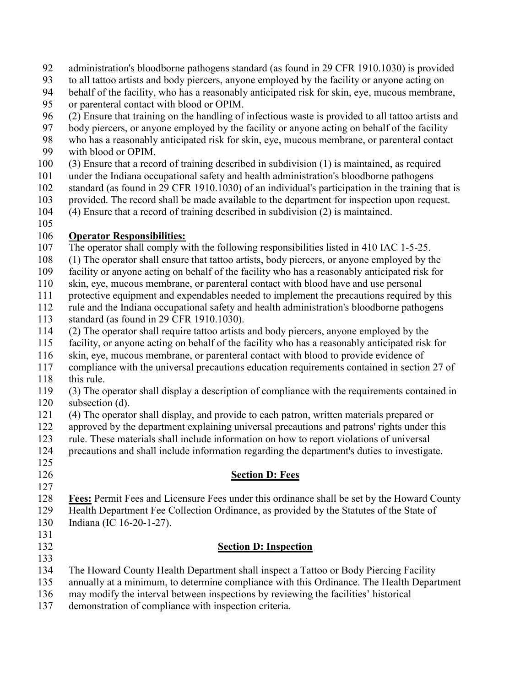- 92 administration's bloodborne pathogens standard (as found in 29 CFR 1910.1030) is provided
- 93 to all tattoo artists and body piercers, anyone employed by the facility or anyone acting on
- 94 behalf of the facility, who has a reasonably anticipated risk for skin, eye, mucous membrane,
- 95 or parenteral contact with blood or OPIM.
- 96 (2) Ensure that training on the handling of infectious waste is provided to all tattoo artists and
- 97 body piercers, or anyone employed by the facility or anyone acting on behalf of the facility
- 98 who has a reasonably anticipated risk for skin, eye, mucous membrane, or parenteral contact
- 99 with blood or OPIM.
- 100 (3) Ensure that a record of training described in subdivision (1) is maintained, as required
- 101 under the Indiana occupational safety and health administration's bloodborne pathogens
- 102 standard (as found in 29 CFR 1910.1030) of an individual's participation in the training that is
- 103 provided. The record shall be made available to the department for inspection upon request.
- 104 (4) Ensure that a record of training described in subdivision (2) is maintained.
- 105

## 106 **Operator Responsibilities:**<br>107 The operator shall comply w

- The operator shall comply with the following responsibilities listed in 410 IAC 1-5-25.
- 108 (1) The operator shall ensure that tattoo artists, body piercers, or anyone employed by the
- 109 facility or anyone acting on behalf of the facility who has a reasonably anticipated risk for
- 110 skin, eye, mucous membrane, or parenteral contact with blood have and use personal
- 111 protective equipment and expendables needed to implement the precautions required by this
- 112 rule and the Indiana occupational safety and health administration's bloodborne pathogens
- 113 standard (as found in 29 CFR 1910.1030).
- 114 (2) The operator shall require tattoo artists and body piercers, anyone employed by the
- 115 facility, or anyone acting on behalf of the facility who has a reasonably anticipated risk for
- 116 skin, eye, mucous membrane, or parenteral contact with blood to provide evidence of
- 117 compliance with the universal precautions education requirements contained in section 27 of 118 this rule.
- 119 (3) The operator shall display a description of compliance with the requirements contained in 120 subsection (d).
- 121 (4) The operator shall display, and provide to each patron, written materials prepared or
- 122 approved by the department explaining universal precautions and patrons' rights under this<br>123 rule. These materials shall include information on how to report violations of universal
- rule. These materials shall include information on how to report violations of universal
- 124 precautions and shall include information regarding the department's duties to investigate.
- 125
- 127

## 126 Section D: Fees

- 128 Fees: Permit Fees and Licensure Fees under this ordinance shall be set by the Howard County<br>129 Health Department Fee Collection Ordinance, as provided by the Statutes of the State of
- Health Department Fee Collection Ordinance, as provided by the Statutes of the State of 130 Indiana (IC 16-20-1-27).
- 131

133

## 132 Section D: Inspection

- 134 The Howard County Health Department shall inspect a Tattoo or Body Piercing Facility
- 135 annually at a minimum, to determine compliance with this Ordinance. The Health Department
- 136 may modify the interval between inspections by reviewing the facilities' historical
- 137 demonstration of compliance with inspection criteria.